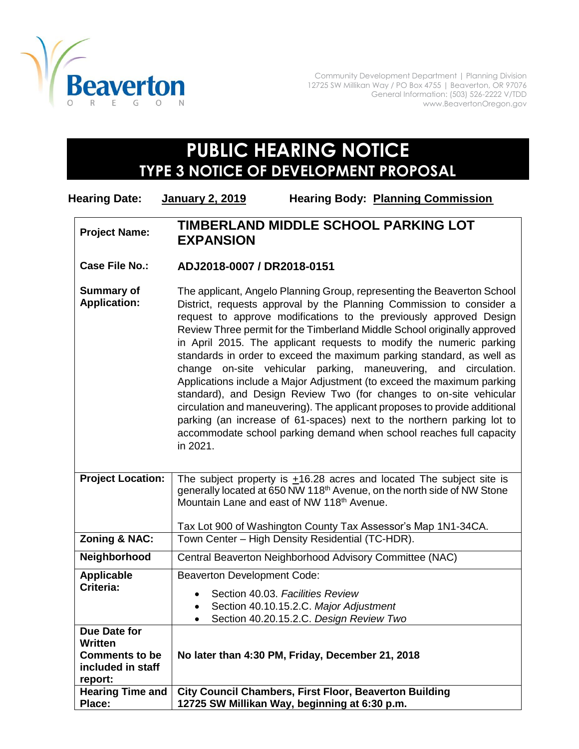

Community Development Department | Planning Division 12725 SW Millikan Way / PO Box 4755 | Beaverton, OR 97076 General Information: (503) 526-2222 V/TDD www.BeavertonOregon.gov

## **PUBLIC HEARING NOTICE TYPE 3 NOTICE OF DEVELOPMENT PROPOSAL**

| <b>Hearing Date:</b>                                                                    | <b>Hearing Body: Planning Commission</b><br><b>January 2, 2019</b>                                                                                                                                                                                                                                                                                                                                                                                                                                                                                                                                                                                                                                                                                                                                                                                                                                              |
|-----------------------------------------------------------------------------------------|-----------------------------------------------------------------------------------------------------------------------------------------------------------------------------------------------------------------------------------------------------------------------------------------------------------------------------------------------------------------------------------------------------------------------------------------------------------------------------------------------------------------------------------------------------------------------------------------------------------------------------------------------------------------------------------------------------------------------------------------------------------------------------------------------------------------------------------------------------------------------------------------------------------------|
| <b>Project Name:</b>                                                                    | TIMBERLAND MIDDLE SCHOOL PARKING LOT<br><b>EXPANSION</b>                                                                                                                                                                                                                                                                                                                                                                                                                                                                                                                                                                                                                                                                                                                                                                                                                                                        |
| <b>Case File No.:</b>                                                                   | ADJ2018-0007 / DR2018-0151                                                                                                                                                                                                                                                                                                                                                                                                                                                                                                                                                                                                                                                                                                                                                                                                                                                                                      |
| <b>Summary of</b><br><b>Application:</b>                                                | The applicant, Angelo Planning Group, representing the Beaverton School<br>District, requests approval by the Planning Commission to consider a<br>request to approve modifications to the previously approved Design<br>Review Three permit for the Timberland Middle School originally approved<br>in April 2015. The applicant requests to modify the numeric parking<br>standards in order to exceed the maximum parking standard, as well as<br>change on-site vehicular parking, maneuvering, and circulation.<br>Applications include a Major Adjustment (to exceed the maximum parking<br>standard), and Design Review Two (for changes to on-site vehicular<br>circulation and maneuvering). The applicant proposes to provide additional<br>parking (an increase of 61-spaces) next to the northern parking lot to<br>accommodate school parking demand when school reaches full capacity<br>in 2021. |
| <b>Project Location:</b>                                                                | The subject property is $\pm$ 16.28 acres and located The subject site is<br>generally located at 650 NW 118 <sup>th</sup> Avenue, on the north side of NW Stone<br>Mountain Lane and east of NW 118 <sup>th</sup> Avenue.                                                                                                                                                                                                                                                                                                                                                                                                                                                                                                                                                                                                                                                                                      |
| <b>Zoning &amp; NAC:</b>                                                                | Tax Lot 900 of Washington County Tax Assessor's Map 1N1-34CA.<br>Town Center - High Density Residential (TC-HDR).                                                                                                                                                                                                                                                                                                                                                                                                                                                                                                                                                                                                                                                                                                                                                                                               |
| Neighborhood                                                                            | Central Beaverton Neighborhood Advisory Committee (NAC)                                                                                                                                                                                                                                                                                                                                                                                                                                                                                                                                                                                                                                                                                                                                                                                                                                                         |
| <b>Applicable</b>                                                                       |                                                                                                                                                                                                                                                                                                                                                                                                                                                                                                                                                                                                                                                                                                                                                                                                                                                                                                                 |
| Criteria:                                                                               | <b>Beaverton Development Code:</b><br>Section 40.03. Facilities Review<br>Section 40.10.15.2.C. Major Adjustment<br>Section 40.20.15.2.C. Design Review Two                                                                                                                                                                                                                                                                                                                                                                                                                                                                                                                                                                                                                                                                                                                                                     |
| Due Date for<br><b>Written</b><br><b>Comments to be</b><br>included in staff<br>report: | No later than 4:30 PM, Friday, December 21, 2018                                                                                                                                                                                                                                                                                                                                                                                                                                                                                                                                                                                                                                                                                                                                                                                                                                                                |
| <b>Hearing Time and</b><br>Place:                                                       | <b>City Council Chambers, First Floor, Beaverton Building</b><br>12725 SW Millikan Way, beginning at 6:30 p.m.                                                                                                                                                                                                                                                                                                                                                                                                                                                                                                                                                                                                                                                                                                                                                                                                  |